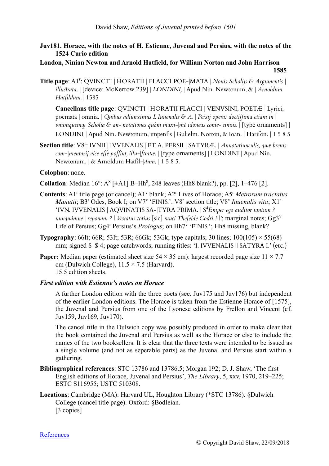## **Juv181. Horace, with the notes of H. Estienne, Juvenal and Persius, with the notes of the 1524 Curio edition**

## **London, Ninian Newton and Arnold Hatfield, for William Norton and John Harrison 1585**

Title page: A1<sup>r</sup>: QVINCTI | HORATII | FLACCI POE-|MATA | *Nouis Scholijs & Argumentis* | *illustrata*. | [device: McKerrow 239] | *LONDINI,* | Apud Nin. Newtonum, & | *Arnoldum Hatfildum.* | 1585

**Cancellans title page**: QVINCTI | HORATII FLACCI | VENVSINI, POETÆ | Lyrici, poemata | omnia. | *Quibus adiunximus I. Iuuenalis & A.* | *Persij opera: doctiſſima etiam in* | *vnumquemq<sup>3</sup> Scholia & an-*|*notationes quàm maxi-*|*mè idoneas conie-*|*cimus.* | [type ornaments] | LONDINI | Apud Nin. Newtonum, impenfis | Gulielm. Norton, & Ioan. | Harifon. | 1 5 8 5

Section title: V8<sup>r</sup>: IVNII | IVVENALIS | ET A. PERSII | SATYRÆ. | *Annotatiunculis, quæ breuis com-*|*mentarij vice eſſe poſſint, illu-*|*ſtratæ*. | [type ornaments] | LONDINI | Apud Nin. Newtonum, | & Arnoldum Hatfil-|*dum*. | 1 5 8 5.

## **Colophon**: none.

**Collation**: Median  $16^{\circ}$ : A<sup>8</sup> [ $\pm$ A1] B-Hh<sup>8</sup>, 248 leaves (Hh8 blank?), pp. [2], 1-476 [2].

- Contents: A<sup>1</sup><sup>r</sup> title page (or cancel); A1<sup>v</sup> blank; A2<sup>r</sup> Lives of Horace; A5<sup>r</sup> Metrorum tractatus *Manutii*; B3<sup>r</sup> Odes, Book I; on V7<sup>v</sup> 'FINIS.'. V8<sup>r</sup> section title; V8<sup>v</sup> Iuuenalis vita; X1<sup>1</sup> 'IVN. IVVENALIS | AQVINATIS SA-|TYRA PRIMA. | S <sup>4</sup>*Emper ego auditor tantum ? nunquámne* | *reponam ?* | *Vexatus totius* [sic] *rauci Theſeide Codri ?* |'; marginal notes; Gg3<sup>v</sup> Life of Persius; Gg4<sup>r</sup> Persius's *Prologus*; on Hh7<sup>v</sup> 'FINIS.'; Hh8 missing, blank?
- **Typography**: 66It; 66R; 53It; 53R; 66Gk; 53Gk; type capitals; 30 lines;  $100(105) \times 55(68)$ mm; signed \$–\$ 4; page catchwords; running titles: 'I. IVVENALIS || SATYRA I.' (etc.)
- **Paper:** Median paper (estimated sheet size 54  $\times$  35 cm): largest recorded page size 11  $\times$  7.7 cm (Dulwich College),  $11.5 \times 7.5$  (Harvard). 15.5 edition sheets.

## *First edition with Estienne's notes on Horace*

A further London edition with the three poets (see. Juv175 and Juv176) but independent of the earlier London editions. The Horace is taken from the Estienne Horace of [1575], the Juvenal and Persius from one of the Lyonese editions by Frellon and Vincent (cf. Juv159, Juv169, Juv170).

The cancel title in the Dulwich copy was possibly produced in order to make clear that the book contained the Juvenal and Persius as well as the Horace or else to include the names of the two booksellers. It is clear that the three texts were intended to be issued as a single volume (and not as seperable parts) as the Juvenal and Persius start within a gathering.

- **Bibliographical references**: STC 13786 and 13786.5; Morgan 192; D. J. Shaw, 'The first English editions of Horace, Juvenal and Persius', *The Library*, 5, xxv, 1970, 219–225; ESTC S116955; USTC 510308.
- **Locations**: Cambridge (MA): Harvard UL, Houghton Library (\*STC 13786). §Dulwich College (cancel title page). Oxford: §Bodleian. [3 copies]

**[References](http://juvenal.referata.com/wiki/References)**